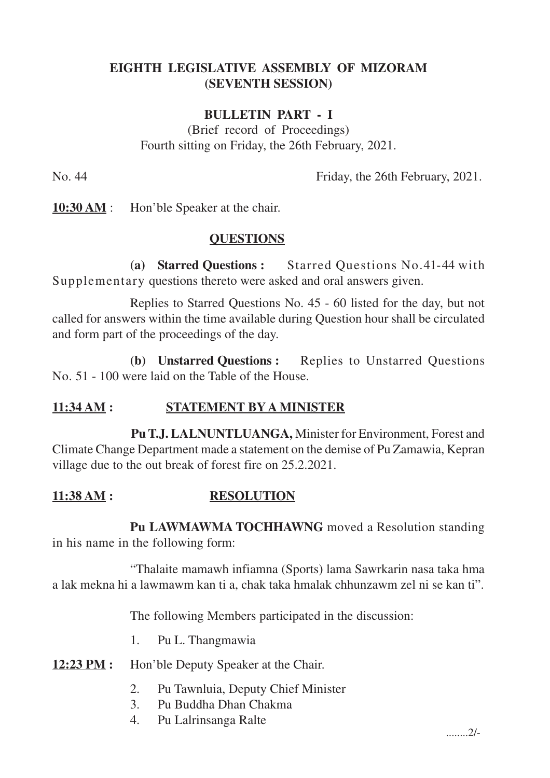# **EIGHTH LEGISLATIVE ASSEMBLY OF MIZORAM (SEVENTH SESSION)**

#### **BULLETIN PART - I**

(Brief record of Proceedings) Fourth sitting on Friday, the 26th February, 2021.

No. 44 Friday, the 26th February, 2021.

**10:30 AM** : Hon'ble Speaker at the chair.

#### **QUESTIONS**

**(a) Starred Questions :** Starred Questions No.41-44 with Supplementary questions thereto were asked and oral answers given.

Replies to Starred Questions No. 45 - 60 listed for the day, but not called for answers within the time available during Question hour shall be circulated and form part of the proceedings of the day.

**(b) Unstarred Questions :** Replies to Unstarred Questions No. 51 - 100 were laid on the Table of the House.

## **11:34 AM : STATEMENT BY A MINISTER**

**Pu T.J. LALNUNTLUANGA,** Minister for Environment, Forest and Climate Change Department made a statement on the demise of Pu Zamawia, Kepran village due to the out break of forest fire on 25.2.2021.

## **11:38 AM : RESOLUTION**

**Pu LAWMAWMA TOCHHAWNG** moved a Resolution standing in his name in the following form:

"Thalaite mamawh infiamna (Sports) lama Sawrkarin nasa taka hma a lak mekna hi a lawmawm kan ti a, chak taka hmalak chhunzawm zel ni se kan ti".

The following Members participated in the discussion:

- 1. Pu L. Thangmawia
- **12:23 PM :** Hon'ble Deputy Speaker at the Chair.
	- 2. Pu Tawnluia, Deputy Chief Minister
	- 3. Pu Buddha Dhan Chakma
	- 4. Pu Lalrinsanga Ralte

........2/-